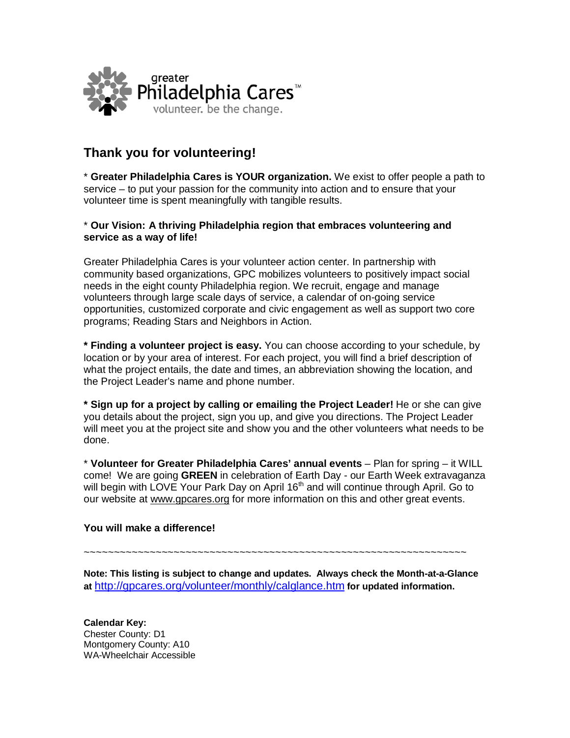

## **Thank you for volunteering!**

\* **Greater Philadelphia Cares is YOUR organization.** We exist to offer people a path to service – to put your passion for the community into action and to ensure that your volunteer time is spent meaningfully with tangible results.

## \* **Our Vision: A thriving Philadelphia region that embraces volunteering and service as a way of life!**

Greater Philadelphia Cares is your volunteer action center. In partnership with community based organizations, GPC mobilizes volunteers to positively impact social needs in the eight county Philadelphia region. We recruit, engage and manage volunteers through large scale days of service, a calendar of on-going service opportunities, customized corporate and civic engagement as well as support two core programs; Reading Stars and Neighbors in Action.

**\* Finding a volunteer project is easy.** You can choose according to your schedule, by location or by your area of interest. For each project, you will find a brief description of what the project entails, the date and times, an abbreviation showing the location, and the Project Leader's name and phone number.

**\* Sign up for a project by calling or emailing the Project Leader!** He or she can give you details about the project, sign you up, and give you directions. The Project Leader will meet you at the project site and show you and the other volunteers what needs to be done.

\* **Volunteer for Greater Philadelphia Cares' annual events** – Plan for spring – it WILL come! We are going **GREEN** in celebration of Earth Day - our Earth Week extravaganza will begin with LOVE Your Park Day on April 16<sup>th</sup> and will continue through April. Go to our website at www.gpcares.org for more information on this and other great events.

## **You will make a difference!**

~~~~~~~~~~~~~~~~~~~~~~~~~~~~~~~~~~~~~~~~~~~~~~~~~~~~~~~~~~~~~~~~

**Note: This listing is subject to change and updates. Always check the Month-at-a-Glance at** <http://gpcares.org/volunteer/monthly/calglance.htm> **for updated information.**

**Calendar Key:** Chester County: D1 Montgomery County: A10 WA-Wheelchair Accessible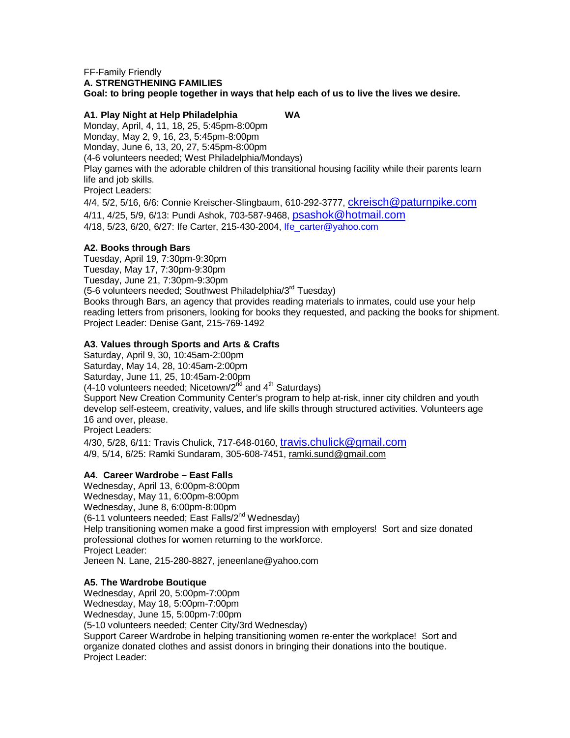#### FF-Family Friendly **A. STRENGTHENING FAMILIES**

**Goal: to bring people together in ways that help each of us to live the lives we desire.**

## **A1. Play Night at Help Philadelphia WA**

Monday, April, 4, 11, 18, 25, 5:45pm-8:00pm Monday, May 2, 9, 16, 23, 5:45pm-8:00pm Monday, June 6, 13, 20, 27, 5:45pm-8:00pm (4-6 volunteers needed; West Philadelphia/Mondays) Play games with the adorable children of this transitional housing facility while their parents learn life and job skills. Project Leaders:

4/4, 5/2, 5/16, 6/6: Connie Kreischer-Slingbaum, 610-292-3777, [ckreisch@paturnpike.com](mailto:ckreisch@paturnpike.com) 4/11, 4/25, 5/9, 6/13: Pundi Ashok, 703-587-9468, [psashok@hotmail.com](mailto:psashok@hotmail.com) 4/18, 5/23, 6/20, 6/27: Ife Carter, 215-430-2004, [Ife\\_carter@yahoo.com](mailto:Ife_carter@yahoo.com)

## **A2. Books through Bars**

Tuesday, April 19, 7:30pm-9:30pm Tuesday, May 17, 7:30pm-9:30pm Tuesday, June 21, 7:30pm-9:30pm (5-6 volunteers needed; Southwest Philadelphia/3<sup>rd</sup> Tuesday) Books through Bars, an agency that provides reading materials to inmates, could use your help reading letters from prisoners, looking for books they requested, and packing the books for shipment. Project Leader: Denise Gant, 215-769-1492

## **A3. Values through Sports and Arts & Crafts**

Saturday, April 9, 30, 10:45am-2:00pm Saturday, May 14, 28, 10:45am-2:00pm Saturday, June 11, 25, 10:45am-2:00pm  $(4-10$  volunteers needed; Nicetown/2<sup>nd</sup> and  $4<sup>th</sup>$  Saturdays) Support New Creation Community Center's program to help at-risk, inner city children and youth develop self-esteem, creativity, values, and life skills through structured activities. Volunteers age 16 and over, please. Project Leaders:

4/30, 5/28, 6/11: Travis Chulick, 717-648-0160, [travis.chulick@gmail.com](mailto:travis.chulick@gmail.com) 4/9, 5/14, 6/25: Ramki Sundaram, 305-608-7451, ramki.sund@gmail.com

#### **A4. Career Wardrobe – East Falls**

Wednesday, April 13, 6:00pm-8:00pm Wednesday, May 11, 6:00pm-8:00pm Wednesday, June 8, 6:00pm-8:00pm (6-11 volunteers needed; East Falls/2<sup>nd</sup> Wednesday) Help transitioning women make a good first impression with employers! Sort and size donated professional clothes for women returning to the workforce. Project Leader: Jeneen N. Lane, 215-280-8827, jeneenlane@yahoo.com

#### **A5. The Wardrobe Boutique**

Wednesday, April 20, 5:00pm-7:00pm Wednesday, May 18, 5:00pm-7:00pm Wednesday, June 15, 5:00pm-7:00pm (5-10 volunteers needed; Center City/3rd Wednesday) Support Career Wardrobe in helping transitioning women re-enter the workplace! Sort and organize donated clothes and assist donors in bringing their donations into the boutique. Project Leader: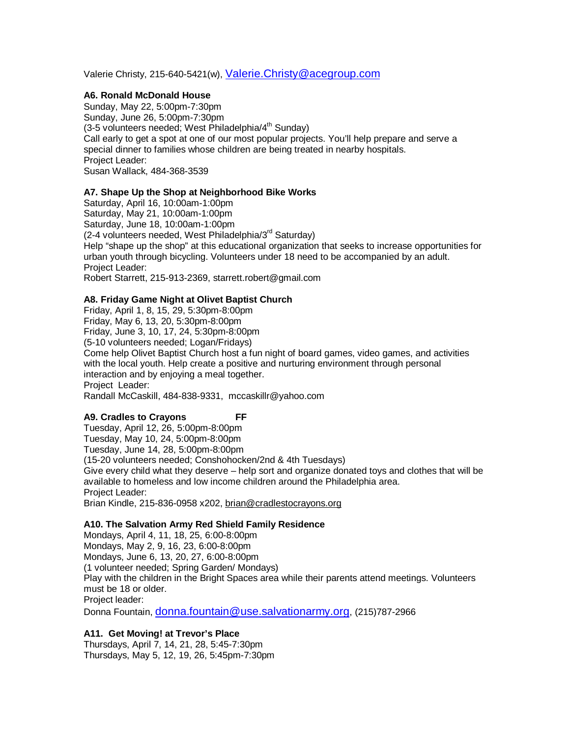Valerie Christy, 215-640-5421(w), [Valerie.Christy@acegroup.com](mailto:Valerie.Christy@acegroup.com)

## **A6. Ronald McDonald House**

Sunday, May 22, 5:00pm-7:30pm Sunday, June 26, 5:00pm-7:30pm  $(3-5$  volunteers needed; West Philadelphia/4<sup>th</sup> Sunday) Call early to get a spot at one of our most popular projects. You'll help prepare and serve a special dinner to families whose children are being treated in nearby hospitals. Project Leader: Susan Wallack, 484-368-3539

## **A7. Shape Up the Shop at Neighborhood Bike Works**

Saturday, April 16, 10:00am-1:00pm Saturday, May 21, 10:00am-1:00pm Saturday, June 18, 10:00am-1:00pm (2-4 volunteers needed, West Philadelphia/3rd Saturday) Help "shape up the shop" at this educational organization that seeks to increase opportunities for urban youth through bicycling. Volunteers under 18 need to be accompanied by an adult. Project Leader: Robert Starrett, 215-913-2369, starrett.robert@gmail.com

# **A8. Friday Game Night at Olivet Baptist Church**

Friday, April 1, 8, 15, 29, 5:30pm-8:00pm Friday, May 6, 13, 20, 5:30pm-8:00pm Friday, June 3, 10, 17, 24, 5:30pm-8:00pm (5-10 volunteers needed; Logan/Fridays) Come help Olivet Baptist Church host a fun night of board games, video games, and activities with the local youth. Help create a positive and nurturing environment through personal interaction and by enjoying a meal together. Project Leader: Randall McCaskill, 484-838-9331, mccaskillr@yahoo.com

## **A9. Cradles to Crayons FF**

Tuesday, April 12, 26, 5:00pm-8:00pm Tuesday, May 10, 24, 5:00pm-8:00pm Tuesday, June 14, 28, 5:00pm-8:00pm (15-20 volunteers needed; Conshohocken/2nd & 4th Tuesdays) Give every child what they deserve – help sort and organize donated toys and clothes that will be available to homeless and low income children around the Philadelphia area. Project Leader: Brian Kindle, 215-836-0958 x202, brian@cradlestocrayons.org

#### **A10. The Salvation Army Red Shield Family Residence**

Mondays, April 4, 11, 18, 25, 6:00-8:00pm Mondays, May 2, 9, 16, 23, 6:00-8:00pm Mondays, June 6, 13, 20, 27, 6:00-8:00pm (1 volunteer needed; Spring Garden/ Mondays) Play with the children in the Bright Spaces area while their parents attend meetings. Volunteers must be 18 or older. Project leader:

Donna Fountain[, donna.fountain@use.salvationarmy.org,](mailto:donna.fountain@use.salvationarmy.org) (215)787-2966

## **A11. Get Moving! at Trevor's Place**

Thursdays, April 7, 14, 21, 28, 5:45-7:30pm Thursdays, May 5, 12, 19, 26, 5:45pm-7:30pm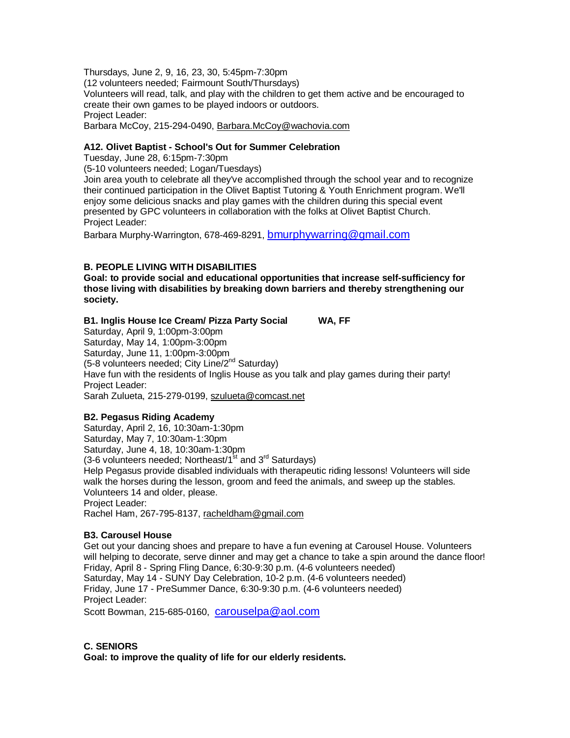Thursdays, June 2, 9, 16, 23, 30, 5:45pm-7:30pm

(12 volunteers needed; Fairmount South/Thursdays) Volunteers will read, talk, and play with the children to get them active and be encouraged to create their own games to be played indoors or outdoors. Project Leader: Barbara McCoy, 215-294-0490, Barbara.McCoy@wachovia.com

## **A12. Olivet Baptist - School's Out for Summer Celebration**

Tuesday, June 28, 6:15pm-7:30pm

(5-10 volunteers needed; Logan/Tuesdays)

Join area youth to celebrate all they've accomplished through the school year and to recognize their continued participation in the Olivet Baptist Tutoring & Youth Enrichment program. We'll enjoy some delicious snacks and play games with the children during this special event presented by GPC volunteers in collaboration with the folks at Olivet Baptist Church. Project Leader:

Barbara Murphy-Warrington, 678-469-8291, [bmurphywarring@gmail.com](mailto:bmurphywarring@gmail.com)

## **B. PEOPLE LIVING WITH DISABILITIES**

**Goal: to provide social and educational opportunities that increase self-sufficiency for those living with disabilities by breaking down barriers and thereby strengthening our society.**

## **B1. Inglis House Ice Cream/ Pizza Party Social WA, FF**

Saturday, April 9, 1:00pm-3:00pm Saturday, May 14, 1:00pm-3:00pm Saturday, June 11, 1:00pm-3:00pm (5-8 volunteers needed; City Line/2<sup>nd</sup> Saturday) Have fun with the residents of Inglis House as you talk and play games during their party! Project Leader: Sarah Zulueta, 215-279-0199, szulueta@comcast.net

## **B2. Pegasus Riding Academy**

Saturday, April 2, 16, 10:30am-1:30pm Saturday, May 7, 10:30am-1:30pm Saturday, June 4, 18, 10:30am-1:30pm (3-6 volunteers needed: Northeast/ $1<sup>st</sup>$  and  $3<sup>rd</sup>$  Saturdays) Help Pegasus provide disabled individuals with therapeutic riding lessons! Volunteers will side walk the horses during the lesson, groom and feed the animals, and sweep up the stables. Volunteers 14 and older, please. Project Leader: Rachel Ham, 267-795-8137, racheldham@gmail.com

## **B3. Carousel House**

Get out your dancing shoes and prepare to have a fun evening at Carousel House. Volunteers will helping to decorate, serve dinner and may get a chance to take a spin around the dance floor! Friday, April 8 - Spring Fling Dance, 6:30-9:30 p.m. (4-6 volunteers needed) Saturday, May 14 - SUNY Day Celebration, 10-2 p.m. (4-6 volunteers needed) Friday, June 17 - PreSummer Dance, 6:30-9:30 p.m. (4-6 volunteers needed) Project Leader:

Scott Bowman, 215-685-0160, [carouselpa@aol.com](mailto:carouselpa@aol.com)

## **C. SENIORS**

**Goal: to improve the quality of life for our elderly residents.**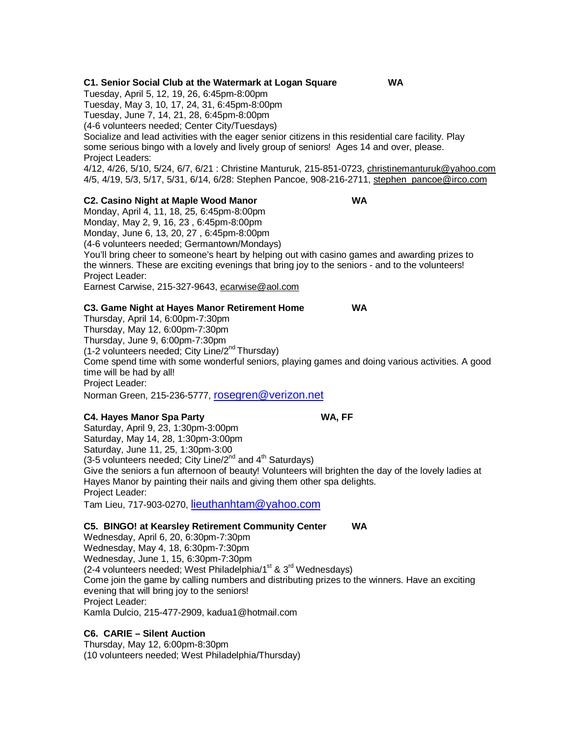#### **C1. Senior Social Club at the Watermark at Logan Square WA**

Tuesday, April 5, 12, 19, 26, 6:45pm-8:00pm Tuesday, May 3, 10, 17, 24, 31, 6:45pm-8:00pm Tuesday, June 7, 14, 21, 28, 6:45pm-8:00pm (4-6 volunteers needed; Center City/Tuesdays) Socialize and lead activities with the eager senior citizens in this residential care facility. Play some serious bingo with a lovely and lively group of seniors! Ages 14 and over, please. Project Leaders: 4/12, 4/26, 5/10, 5/24, 6/7, 6/21 : Christine Manturuk, 215-851-0723, christinemanturuk@yahoo.com 4/5, 4/19, 5/3, 5/17, 5/31, 6/14, 6/28: Stephen Pancoe, 908-216-2711, stephen\_pancoe@irco.com

## **C2. Casino Night at Maple Wood Manor WA**

Monday, April 4, 11, 18, 25, 6:45pm-8:00pm Monday, May 2, 9, 16, 23 , 6:45pm-8:00pm Monday, June 6, 13, 20, 27 , 6:45pm-8:00pm (4-6 volunteers needed; Germantown/Mondays) You'll bring cheer to someone's heart by helping out with casino games and awarding prizes to the winners. These are exciting evenings that bring joy to the seniors - and to the volunteers! Project Leader:

Earnest Carwise, 215-327-9643, ecarwise@aol.com

#### **C3. Game Night at Hayes Manor Retirement Home WA**

Thursday, April 14, 6:00pm-7:30pm Thursday, May 12, 6:00pm-7:30pm Thursday, June 9, 6:00pm-7:30pm (1-2 volunteers needed; City Line/2<sup>nd</sup> Thursdav) Come spend time with some wonderful seniors, playing games and doing various activities. A good time will be had by all! Project Leader: Norman Green, 215-236-5777, [rosegren@verizon.net](mailto:rosegren@verizon.net)

#### **C4. Hayes Manor Spa Party WA, FF**

Saturday, April 9, 23, 1:30pm-3:00pm Saturday, May 14, 28, 1:30pm-3:00pm Saturday, June 11, 25, 1:30pm-3:00 (3-5 volunteers needed; City Line/2<sup>nd</sup> and 4<sup>th</sup> Saturdays) Give the seniors a fun afternoon of beauty! Volunteers will brighten the day of the lovely ladies at Hayes Manor by painting their nails and giving them other spa delights. Project Leader: Tam Lieu, 717-903-0270, [lieuthanhtam@yahoo.com](mailto:lieuthanhtam@yahoo.com)

#### **C5. BINGO! at Kearsley Retirement Community Center WA**

Wednesday, April 6, 20, 6:30pm-7:30pm Wednesday, May 4, 18, 6:30pm-7:30pm Wednesday, June 1, 15, 6:30pm-7:30pm (2-4 volunteers needed; West Philadelphia/1<sup>st</sup> & 3<sup>rd</sup> Wednesdays) Come join the game by calling numbers and distributing prizes to the winners. Have an exciting evening that will bring joy to the seniors! Project Leader: Kamla Dulcio, 215-477-2909, kadua1@hotmail.com

#### **C6. CARIE – Silent Auction**

Thursday, May 12, 6:00pm-8:30pm (10 volunteers needed; West Philadelphia/Thursday)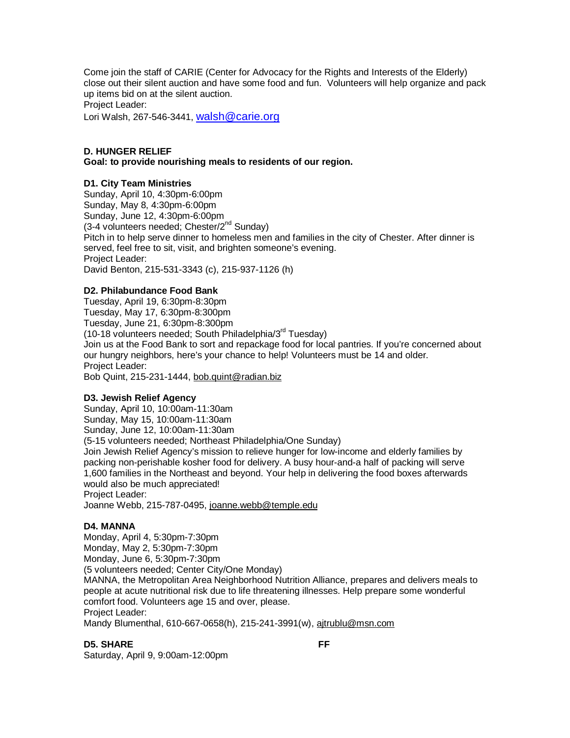Come join the staff of CARIE (Center for Advocacy for the Rights and Interests of the Elderly) close out their silent auction and have some food and fun. Volunteers will help organize and pack up items bid on at the silent auction. Project Leader:

Lori Walsh, 267-546-3441, walsh  $@$  carie.org

## **D. HUNGER RELIEF**

**Goal: to provide nourishing meals to residents of our region.** 

#### **D1. City Team Ministries**

Sunday, April 10, 4:30pm-6:00pm Sunday, May 8, 4:30pm-6:00pm Sunday, June 12, 4:30pm-6:00pm  $(3-4$  volunteers needed; Chester/ $2^{nd}$  Sunday) Pitch in to help serve dinner to homeless men and families in the city of Chester. After dinner is served, feel free to sit, visit, and brighten someone's evening. Project Leader: David Benton, 215-531-3343 (c), 215-937-1126 (h)

#### **D2. Philabundance Food Bank**

Tuesday, April 19, 6:30pm-8:30pm Tuesday, May 17, 6:30pm-8:300pm Tuesday, June 21, 6:30pm-8:300pm (10-18 volunteers needed; South Philadelphia/3rd Tuesday) Join us at the Food Bank to sort and repackage food for local pantries. If you're concerned about our hungry neighbors, here's your chance to help! Volunteers must be 14 and older. Project Leader: Bob Quint, 215-231-1444, bob.quint@radian.biz

#### **D3. Jewish Relief Agency**

Sunday, April 10, 10:00am-11:30am Sunday, May 15, 10:00am-11:30am Sunday, June 12, 10:00am-11:30am (5-15 volunteers needed; Northeast Philadelphia/One Sunday) Join Jewish Relief Agency's mission to relieve hunger for low-income and elderly families by packing non-perishable kosher food for delivery. A busy hour-and-a half of packing will serve 1,600 families in the Northeast and beyond. Your help in delivering the food boxes afterwards would also be much appreciated! Project Leader: Joanne Webb, 215-787-0495, joanne.webb@temple.edu

#### **D4. MANNA**

Monday, April 4, 5:30pm-7:30pm Monday, May 2, 5:30pm-7:30pm Monday, June 6, 5:30pm-7:30pm

(5 volunteers needed; Center City/One Monday)

MANNA, the Metropolitan Area Neighborhood Nutrition Alliance, prepares and delivers meals to people at acute nutritional risk due to life threatening illnesses. Help prepare some wonderful comfort food. Volunteers age 15 and over, please. Project Leader:

Mandy Blumenthal, 610-667-0658(h), 215-241-3991(w), ajtrublu@msn.com

#### **D5. SHARE** FF

Saturday, April 9, 9:00am-12:00pm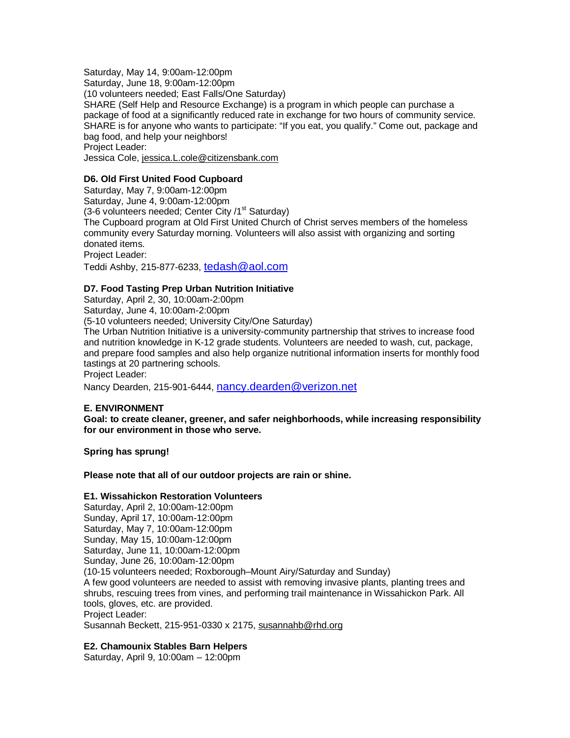Saturday, May 14, 9:00am-12:00pm Saturday, June 18, 9:00am-12:00pm (10 volunteers needed; East Falls/One Saturday) SHARE (Self Help and Resource Exchange) is a program in which people can purchase a package of food at a significantly reduced rate in exchange for two hours of community service. SHARE is for anyone who wants to participate: "If you eat, you qualify." Come out, package and bag food, and help your neighbors! Project Leader: Jessica Cole, jessica.L.cole@citizensbank.com

## **D6. Old First United Food Cupboard**

Saturday, May 7, 9:00am-12:00pm Saturday, June 4, 9:00am-12:00pm (3-6 volunteers needed; Center City /1<sup>st</sup> Saturday) The Cupboard program at Old First United Church of Christ serves members of the homeless community every Saturday morning. Volunteers will also assist with organizing and sorting donated items. Project Leader:

Teddi Ashby, 215-877-6233, [tedash@aol.com](mailto:tedash@aol.com) 

## **D7. Food Tasting Prep Urban Nutrition Initiative**

Saturday, April 2, 30, 10:00am-2:00pm Saturday, June 4, 10:00am-2:00pm

(5-10 volunteers needed; University City/One Saturday)

The Urban Nutrition Initiative is a university-community partnership that strives to increase food and nutrition knowledge in K-12 grade students. Volunteers are needed to wash, cut, package, and prepare food samples and also help organize nutritional information inserts for monthly food tastings at 20 partnering schools.

Project Leader:

Nancy Dearden, 215-901-6444, [nancy.dearden@verizon.net](mailto:nancy.dearden@verizon.net) 

## **E. ENVIRONMENT**

**Goal: to create cleaner, greener, and safer neighborhoods, while increasing responsibility for our environment in those who serve.** 

**Spring has sprung!** 

**Please note that all of our outdoor projects are rain or shine.** 

## **E1. Wissahickon Restoration Volunteers**

Saturday, April 2, 10:00am-12:00pm Sunday, April 17, 10:00am-12:00pm Saturday, May 7, 10:00am-12:00pm Sunday, May 15, 10:00am-12:00pm Saturday, June 11, 10:00am-12:00pm Sunday, June 26, 10:00am-12:00pm (10-15 volunteers needed; Roxborough–Mount Airy/Saturday and Sunday) A few good volunteers are needed to assist with removing invasive plants, planting trees and shrubs, rescuing trees from vines, and performing trail maintenance in Wissahickon Park. All tools, gloves, etc. are provided. Project Leader: Susannah Beckett, 215-951-0330 x 2175, susannahb@rhd.org

## **E2. Chamounix Stables Barn Helpers**

Saturday, April 9, 10:00am – 12:00pm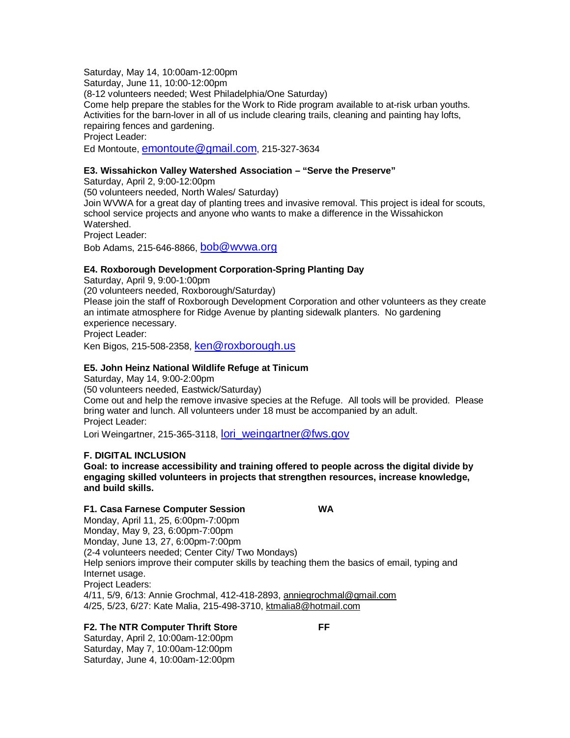Saturday, May 14, 10:00am-12:00pm

Saturday, June 11, 10:00-12:00pm

(8-12 volunteers needed; West Philadelphia/One Saturday)

Come help prepare the stables for the Work to Ride program available to at-risk urban youths. Activities for the barn-lover in all of us include clearing trails, cleaning and painting hay lofts, repairing fences and gardening.

Project Leader:

Ed Montoute, [emontoute@gmail.com,](mailto:emontoute@gmail.com) 215-327-3634

## **E3. Wissahickon Valley Watershed Association – "Serve the Preserve"**

Saturday, April 2, 9:00-12:00pm (50 volunteers needed, North Wales/ Saturday) Join WVWA for a great day of planting trees and invasive removal. This project is ideal for scouts, school service projects and anyone who wants to make a difference in the Wissahickon Watershed. Project Leader: Bob Adams, 215-646-8866, [bob@wvwa.org](mailto:bob@wvwa.org)

## **E4. Roxborough Development Corporation-Spring Planting Day**

Saturday, April 9, 9:00-1:00pm (20 volunteers needed, Roxborough/Saturday) Please join the staff of Roxborough Development Corporation and other volunteers as they create an intimate atmosphere for Ridge Avenue by planting sidewalk planters. No gardening experience necessary. Project Leader:

Ken Bigos, 215-508-2358, [ken@roxborough.us](mailto:ken@roxborough.us)

## **E5. John Heinz National Wildlife Refuge at Tinicum**

Saturday, May 14, 9:00-2:00pm

(50 volunteers needed, Eastwick/Saturday)

Come out and help the remove invasive species at the Refuge. All tools will be provided. Please bring water and lunch. All volunteers under 18 must be accompanied by an adult. Project Leader:

Lori Weingartner, 215-365-3118, [lori\\_weingartner@fws.gov](mailto:lori_weingartner@fws.gov)

## **F. DIGITAL INCLUSION**

**Goal: to increase accessibility and training offered to people across the digital divide by engaging skilled volunteers in projects that strengthen resources, increase knowledge, and build skills.**

#### **F1. Casa Farnese Computer Session WA**

Monday, April 11, 25, 6:00pm-7:00pm Monday, May 9, 23, 6:00pm-7:00pm Monday, June 13, 27, 6:00pm-7:00pm (2-4 volunteers needed; Center City/ Two Mondays) Help seniors improve their computer skills by teaching them the basics of email, typing and Internet usage. Project Leaders: 4/11, 5/9, 6/13: Annie Grochmal, 412-418-2893, anniegrochmal@gmail.com 4/25, 5/23, 6/27: Kate Malia, 215-498-3710, ktmalia8@hotmail.com

## **F2. The NTR Computer Thrift Store FF**

Saturday, April 2, 10:00am-12:00pm Saturday, May 7, 10:00am-12:00pm Saturday, June 4, 10:00am-12:00pm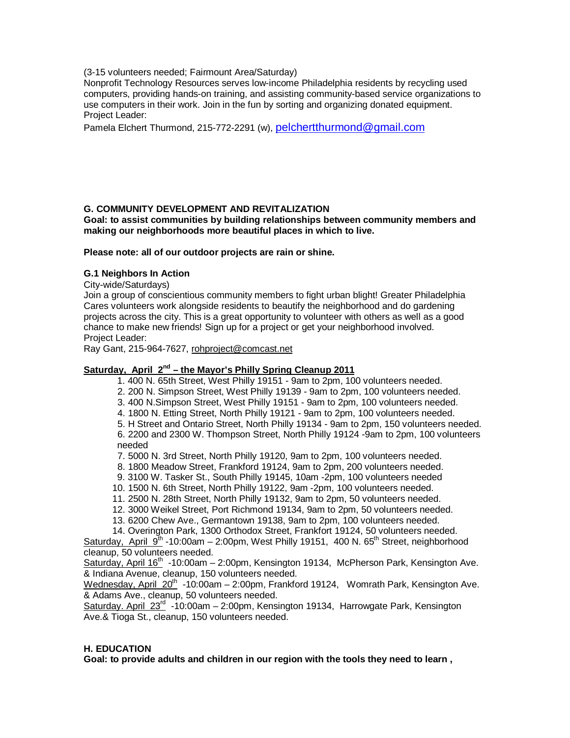(3-15 volunteers needed; Fairmount Area/Saturday)

Nonprofit Technology Resources serves low-income Philadelphia residents by recycling used computers, providing hands-on training, and assisting community-based service organizations to use computers in their work. Join in the fun by sorting and organizing donated equipment. Project Leader:

Pamela Elchert Thurmond, 215-772-2291 (w), [pelchertthurmond@gmail.com](mailto:pelchertthurmond@gmail.com)

## **G. COMMUNITY DEVELOPMENT AND REVITALIZATION**

**Goal: to assist communities by building relationships between community members and making our neighborhoods more beautiful places in which to live.**

**Please note: all of our outdoor projects are rain or shine.**

## **G.1 Neighbors In Action**

City-wide/Saturdays)

Join a group of conscientious community members to fight urban blight! Greater Philadelphia Cares volunteers work alongside residents to beautify the neighborhood and do gardening projects across the city. This is a great opportunity to volunteer with others as well as a good chance to make new friends! Sign up for a project or get your neighborhood involved. Project Leader:

Ray Gant, 215-964-7627, rohproject@comcast.net

## Saturday, April 2<sup>nd</sup> – the Mayor's Philly Spring Cleanup 2011

- 1. 400 N. 65th Street, West Philly 19151 9am to 2pm, 100 volunteers needed.
- 2. 200 N. Simpson Street, West Philly 19139 9am to 2pm, 100 volunteers needed.
- 3. 400 N.Simpson Street, West Philly 19151 9am to 2pm, 100 volunteers needed.
- 4. 1800 N. Etting Street, North Philly 19121 9am to 2pm, 100 volunteers needed.

 5. H Street and Ontario Street, North Philly 19134 - 9am to 2pm, 150 volunteers needed. 6. 2200 and 2300 W. Thompson Street, North Philly 19124 -9am to 2pm, 100 volunteers needed

- 7. 5000 N. 3rd Street, North Philly 19120, 9am to 2pm, 100 volunteers needed.
- 8. 1800 Meadow Street, Frankford 19124, 9am to 2pm, 200 volunteers needed.
- 9. 3100 W. Tasker St., South Philly 19145, 10am -2pm, 100 volunteers needed
- 10. 1500 N. 6th Street, North Philly 19122, 9am -2pm, 100 volunteers needed.
- 11. 2500 N. 28th Street, North Philly 19132, 9am to 2pm, 50 volunteers needed.
- 12. 3000 Weikel Street, Port Richmond 19134, 9am to 2pm, 50 volunteers needed.
- 13. 6200 Chew Ave., Germantown 19138, 9am to 2pm, 100 volunteers needed.
- 14. Overington Park, 1300 Orthodox Street, Frankfort 19124, 50 volunteers needed.

Saturday, April  $9^{th}$  -10:00am – 2:00pm, West Philly 19151, 400 N. 65<sup>th</sup> Street, neighborhood cleanup, 50 volunteers needed.

Saturday, April  $16<sup>th</sup>$  -10:00am – 2:00pm, Kensington 19134, McPherson Park, Kensington Ave. & Indiana Avenue, cleanup, 150 volunteers needed.

Wednesday, April  $20^{th}$  -10:00am – 2:00pm, Frankford 19124, Womrath Park, Kensington Ave. & Adams Ave., cleanup, 50 volunteers needed.

Saturday. April 23<sup>rd</sup> -10:00am - 2:00pm, Kensington 19134, Harrowgate Park, Kensington Ave.& Tioga St., cleanup, 150 volunteers needed.

## **H. EDUCATION**

**Goal: to provide adults and children in our region with the tools they need to learn ,**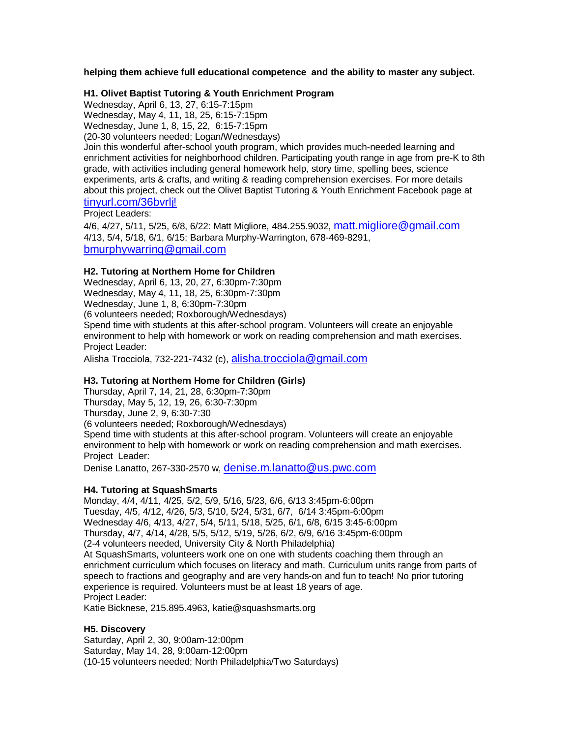**helping them achieve full educational competence and the ability to master any subject.**

## **H1. Olivet Baptist Tutoring & Youth Enrichment Program**

Wednesday, April 6, 13, 27, 6:15-7:15pm Wednesday, May 4, 11, 18, 25, 6:15-7:15pm Wednesday, June 1, 8, 15, 22, 6:15-7:15pm (20-30 volunteers needed; Logan/Wednesdays)

Join this wonderful after-school youth program, which provides much-needed learning and enrichment activities for neighborhood children. Participating youth range in age from pre-K to 8th grade, with activities including general homework help, story time, spelling bees, science experiments, arts & crafts, and writing & reading comprehension exercises. For more details about this project, check out the Olivet Baptist Tutoring & Youth Enrichment Facebook page at [tinyurl.com/36bvrlj!](http://www.tinyurl.com/36bvrlj!)

## Project Leaders:

4/6, 4/27, 5/11, 5/25, 6/8, 6/22: Matt Migliore, 484.255.9032, [matt.migliore@gmail.com](mailto:matt.migliore@gmail.com) 4/13, 5/4, 5/18, 6/1, 6/15: Barbara Murphy-Warrington, 678-469-8291, [bmurphywarring@gmail.com](mailto:bmurphywarring@gmail.com)

## **H2. Tutoring at Northern Home for Children**

Wednesday, April 6, 13, 20, 27, 6:30pm-7:30pm Wednesday, May 4, 11, 18, 25, 6:30pm-7:30pm Wednesday, June 1, 8, 6:30pm-7:30pm (6 volunteers needed; Roxborough/Wednesdays) Spend time with students at this after-school program. Volunteers will create an enjoyable environment to help with homework or work on reading comprehension and math exercises. Project Leader:

Alisha Trocciola, 732-221-7432 (c), [alisha.trocciola@gmail.com](mailto:alisha.trocciola@gmail.com)

## **H3. Tutoring at Northern Home for Children (Girls)**

Thursday, April 7, 14, 21, 28, 6:30pm-7:30pm Thursday, May 5, 12, 19, 26, 6:30-7:30pm Thursday, June 2, 9, 6:30-7:30 (6 volunteers needed; Roxborough/Wednesdays) Spend time with students at this after-school program. Volunteers will create an enjoyable environment to help with homework or work on reading comprehension and math exercises. Project Leader:

Denise Lanatto, 267-330-2570 w, [denise.m.lanatto@us.pwc.com](mailto:denise.m.lanatto@us.pwc.com) 

## **H4. Tutoring at SquashSmarts**

Monday, 4/4, 4/11, 4/25, 5/2, 5/9, 5/16, 5/23, 6/6, 6/13 3:45pm-6:00pm Tuesday, 4/5, 4/12, 4/26, 5/3, 5/10, 5/24, 5/31, 6/7, 6/14 3:45pm-6:00pm Wednesday 4/6, 4/13, 4/27, 5/4, 5/11, 5/18, 5/25, 6/1, 6/8, 6/15 3:45-6:00pm Thursday, 4/7, 4/14, 4/28, 5/5, 5/12, 5/19, 5/26, 6/2, 6/9, 6/16 3:45pm-6:00pm (2-4 volunteers needed, University City & North Philadelphia) At SquashSmarts, volunteers work one on one with students coaching them through an enrichment curriculum which focuses on literacy and math. Curriculum units range from parts of speech to fractions and geography and are very hands-on and fun to teach! No prior tutoring experience is required. Volunteers must be at least 18 years of age. Project Leader: Katie Bicknese, 215.895.4963, katie@squashsmarts.org

## **H5. Discovery**

Saturday, April 2, 30, 9:00am-12:00pm Saturday, May 14, 28, 9:00am-12:00pm (10-15 volunteers needed; North Philadelphia/Two Saturdays)